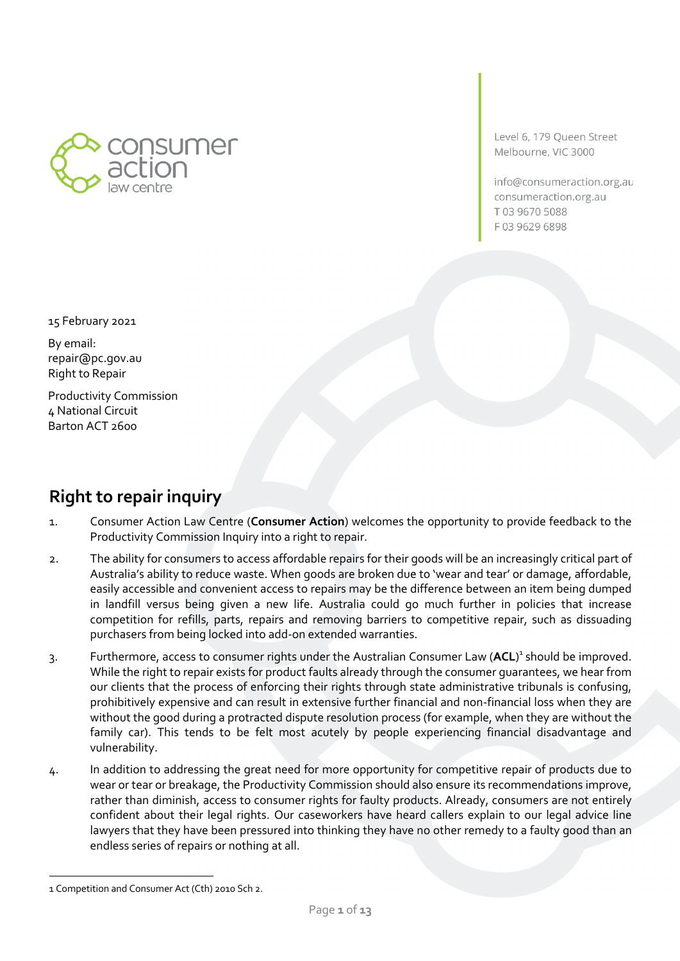

Level 6, 179 Queen Street Melbourne, VIC 3000

info@consumeraction.org.au consumeraction.org.au T0396705088 F03 9629 6898

15 February 2021

By email: repair@pc.gov.au Right to Repair

Productivity Commission 4 National Circuit Barton ACT 2600

## **Right to repair inquiry**

- 1. Consumer Action Law Centre (**Consumer Action**) welcomes the opportunity to provide feedback to the Productivity Commission Inquiry into a right to repair.
- 2. The ability for consumers to access affordable repairs for their goods will be an increasingly critical part of Australia's ability to reduce waste. When goods are broken due to 'wear and tear' or damage, affordable, easily accessible and convenient access to repairs may be the difference between an item being dumped in landfill versus being given a new life. Australia could go much further in policies that increase competition for refills, parts, repairs and removing barriers to competitive repair, such as dissuading purchasers from being locked into add-on extended warranties.
- 3. Furthermore, access to consumer rights under the Australian Consumer Law (**ACL**) <sup>1</sup> should be improved. While the right to repair exists for product faults already through the consumer guarantees, we hear from our clients that the process of enforcing their rights through state administrative tribunals is confusing, prohibitively expensive and can result in extensive further financial and non-financial loss when they are without the good during a protracted dispute resolution process (for example, when they are without the family car). This tends to be felt most acutely by people experiencing financial disadvantage and vulnerability.
- 4. In addition to addressing the great need for more opportunity for competitive repair of products due to wear or tear or breakage, the Productivity Commission should also ensure its recommendations improve, rather than diminish, access to consumer rights for faulty products. Already, consumers are not entirely confident about their legal rights. Our caseworkers have heard callers explain to our legal advice line lawyers that they have been pressured into thinking they have no other remedy to a faulty good than an endless series of repairs or nothing at all.

<sup>1</sup> Competition and Consumer Act (Cth) 2010 Sch 2.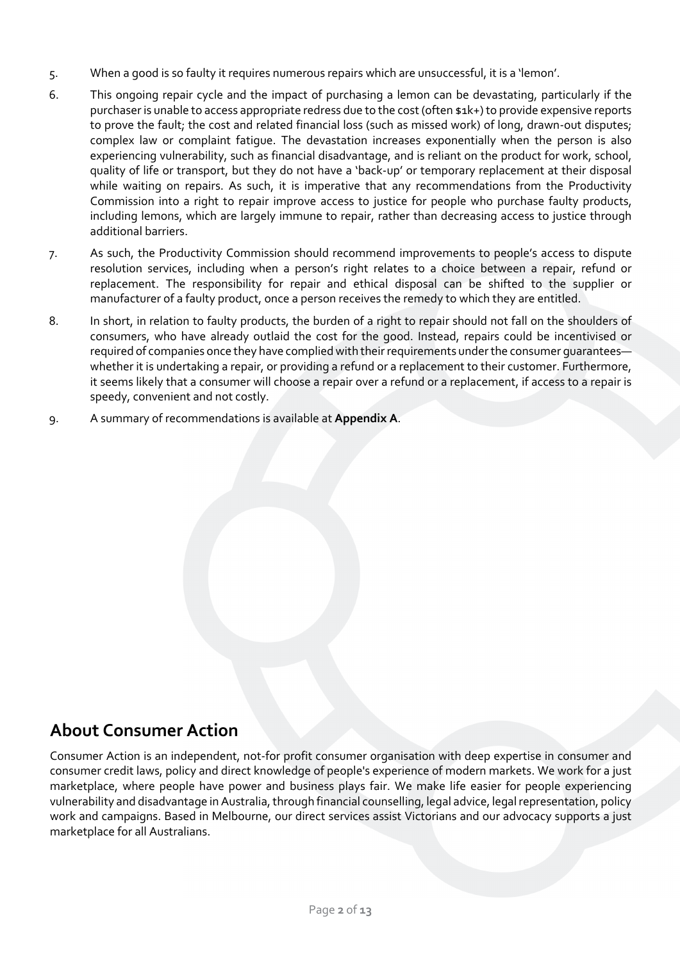- 5. When a good is so faulty it requires numerous repairs which are unsuccessful, it is a 'lemon'.
- 6. This ongoing repair cycle and the impact of purchasing a lemon can be devastating, particularly if the purchaser is unable to access appropriate redress due to the cost (often \$1k+) to provide expensive reports to prove the fault; the cost and related financial loss (such as missed work) of long, drawn-out disputes; complex law or complaint fatigue. The devastation increases exponentially when the person is also experiencing vulnerability, such as financial disadvantage, and is reliant on the product for work, school, quality of life or transport, but they do not have a 'back-up' or temporary replacement at their disposal while waiting on repairs. As such, it is imperative that any recommendations from the Productivity Commission into a right to repair improve access to justice for people who purchase faulty products, including lemons, which are largely immune to repair, rather than decreasing access to justice through additional barriers.
- 7. As such, the Productivity Commission should recommend improvements to people's access to dispute resolution services, including when a person's right relates to a choice between a repair, refund or replacement. The responsibility for repair and ethical disposal can be shifted to the supplier or manufacturer of a faulty product, once a person receives the remedy to which they are entitled.
- 8. In short, in relation to faulty products, the burden of a right to repair should not fall on the shoulders of consumers, who have already outlaid the cost for the good. Instead, repairs could be incentivised or required of companies once they have complied with their requirements under the consumer guarantees whether it is undertaking a repair, or providing a refund or a replacement to their customer. Furthermore, it seems likely that a consumer will choose a repair over a refund or a replacement, if access to a repair is speedy, convenient and not costly.
- 9. A summary of recommendations is available at **Appendix A**.

## **About Consumer Action**

Consumer Action is an independent, not-for profit consumer organisation with deep expertise in consumer and consumer credit laws, policy and direct knowledge of people's experience of modern markets. We work for a just marketplace, where people have power and business plays fair. We make life easier for people experiencing vulnerability and disadvantage in Australia, through financial counselling, legal advice, legal representation, policy work and campaigns. Based in Melbourne, our direct services assist Victorians and our advocacy supports a just marketplace for all Australians.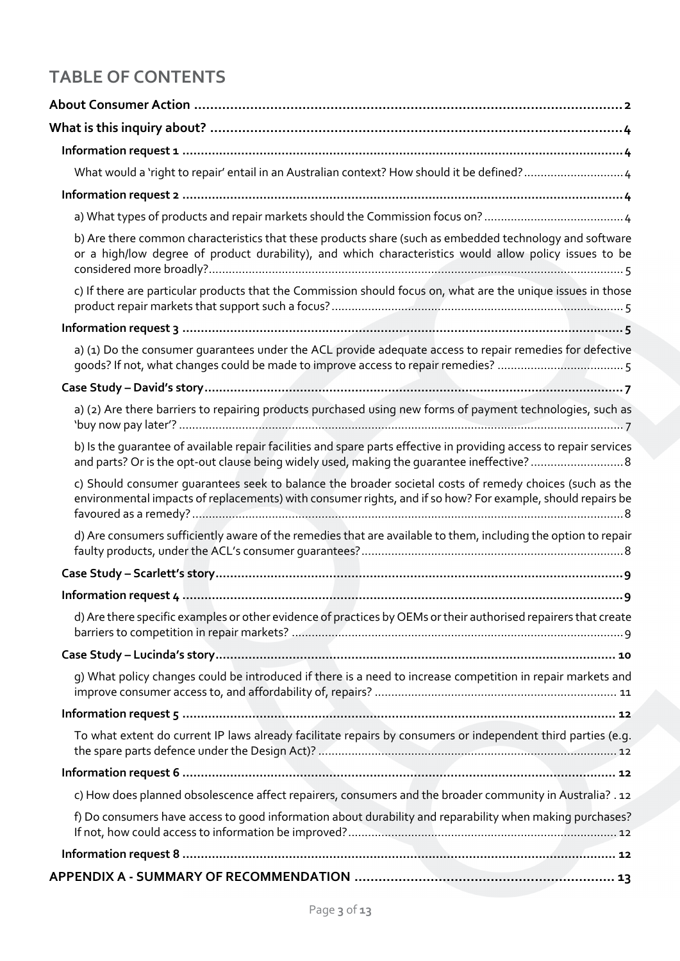# **TABLE OF CONTENTS**

| b) Are there common characteristics that these products share (such as embedded technology and software<br>or a high/low degree of product durability), and which characteristics would allow policy issues to be     |
|-----------------------------------------------------------------------------------------------------------------------------------------------------------------------------------------------------------------------|
| c) If there are particular products that the Commission should focus on, what are the unique issues in those                                                                                                          |
|                                                                                                                                                                                                                       |
| a) (1) Do the consumer quarantees under the ACL provide adequate access to repair remedies for defective                                                                                                              |
|                                                                                                                                                                                                                       |
| a) (2) Are there barriers to repairing products purchased using new forms of payment technologies, such as                                                                                                            |
| b) Is the quarantee of available repair facilities and spare parts effective in providing access to repair services<br>and parts? Or is the opt-out clause being widely used, making the guarantee ineffective? 8     |
| c) Should consumer quarantees seek to balance the broader societal costs of remedy choices (such as the<br>environmental impacts of replacements) with consumer rights, and if so how? For example, should repairs be |
| d) Are consumers sufficiently aware of the remedies that are available to them, including the option to repair                                                                                                        |
|                                                                                                                                                                                                                       |
|                                                                                                                                                                                                                       |
| d) Are there specific examples or other evidence of practices by OEMs or their authorised repairers that create                                                                                                       |
|                                                                                                                                                                                                                       |
| g) What policy changes could be introduced if there is a need to increase competition in repair markets and                                                                                                           |
|                                                                                                                                                                                                                       |
| To what extent do current IP laws already facilitate repairs by consumers or independent third parties (e.g.                                                                                                          |
|                                                                                                                                                                                                                       |
| c) How does planned obsolescence affect repairers, consumers and the broader community in Australia? . 12                                                                                                             |
| f) Do consumers have access to good information about durability and reparability when making purchases?                                                                                                              |
|                                                                                                                                                                                                                       |
|                                                                                                                                                                                                                       |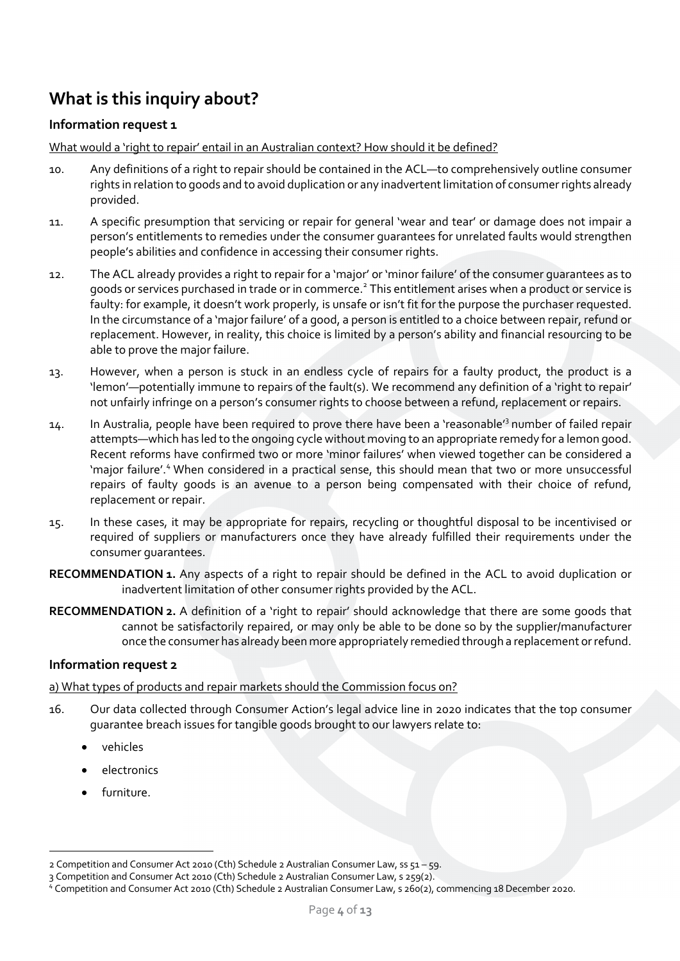## **What is this inquiry about?**

## **Information request 1**

What would a 'right to repair' entail in an Australian context? How should it be defined?

- 10. Any definitions of a right to repair should be contained in the ACL—to comprehensively outline consumer rights in relation to goods and to avoid duplication or any inadvertent limitation of consumer rights already provided.
- 11. A specific presumption that servicing or repair for general 'wear and tear' or damage does not impair a person's entitlements to remedies under the consumer guarantees for unrelated faults would strengthen people's abilities and confidence in accessing their consumer rights.
- 12. The ACL already provides a right to repair for a 'major' or 'minor failure' of the consumer guarantees as to goods or services purchased in trade or in commerce.<sup>2</sup> This entitlement arises when a product or service is faulty: for example, it doesn't work properly, is unsafe or isn't fit for the purpose the purchaser requested. In the circumstance of a 'major failure' of a good, a person is entitled to a choice between repair, refund or replacement. However, in reality, this choice is limited by a person's ability and financial resourcing to be able to prove the major failure.
- 13. However, when a person is stuck in an endless cycle of repairs for a faulty product, the product is a 'lemon'—potentially immune to repairs of the fault(s). We recommend any definition of a 'right to repair' not unfairly infringe on a person's consumer rights to choose between a refund, replacement or repairs.
- 14. In Australia, people have been required to prove there have been a 'reasonable'<sup>3</sup> number of failed repair attempts—which has led to the ongoing cycle without moving to an appropriate remedy for a lemon good. Recent reforms have confirmed two or more 'minor failures' when viewed together can be considered a 'major failure'.<sup>4</sup> When considered in a practical sense, this should mean that two or more unsuccessful repairs of faulty goods is an avenue to a person being compensated with their choice of refund, replacement or repair.
- 15. In these cases, it may be appropriate for repairs, recycling or thoughtful disposal to be incentivised or required of suppliers or manufacturers once they have already fulfilled their requirements under the consumer guarantees.
- **RECOMMENDATION 1.** Any aspects of a right to repair should be defined in the ACL to avoid duplication or inadvertent limitation of other consumer rights provided by the ACL.
- **RECOMMENDATION 2.** A definition of a 'right to repair' should acknowledge that there are some goods that cannot be satisfactorily repaired, or may only be able to be done so by the supplier/manufacturer once the consumer has already been more appropriately remedied through a replacement or refund.

## **Information request 2**

## a) What types of products and repair markets should the Commission focus on?

- 16. Our data collected through Consumer Action's legal advice line in 2020 indicates that the top consumer guarantee breach issues for tangible goods brought to our lawyers relate to:
	- vehicles
	- electronics
	- furniture.

<sup>2</sup> Competition and Consumer Act 2010 (Cth) Schedule 2 Australian Consumer Law, ss 51 – 59.

<sup>3</sup> Competition and Consumer Act 2010 (Cth) Schedule 2 Australian Consumer Law, s 259(2).<br><sup>4</sup> Competition and Consumer Act 2010 (Cth) Schedule 2 Australian Consumer Law, s 260(2), commencing 18 December 2020.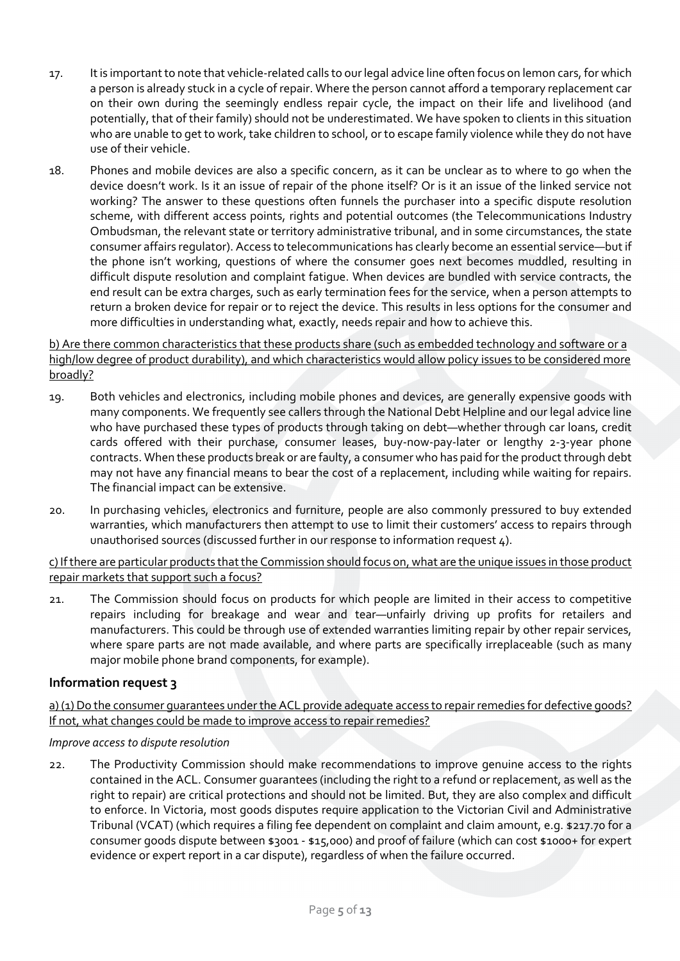- 17. It is important to note that vehicle-related calls to our legal advice line often focus on lemon cars, for which a person is already stuck in a cycle of repair. Where the person cannot afford a temporary replacement car on their own during the seemingly endless repair cycle, the impact on their life and livelihood (and potentially, that of their family) should not be underestimated. We have spoken to clients in this situation who are unable to get to work, take children to school, or to escape family violence while they do not have use of their vehicle.
- 18. Phones and mobile devices are also a specific concern, as it can be unclear as to where to go when the device doesn't work. Is it an issue of repair of the phone itself? Or is it an issue of the linked service not working? The answer to these questions often funnels the purchaser into a specific dispute resolution scheme, with different access points, rights and potential outcomes (the Telecommunications Industry Ombudsman, the relevant state or territory administrative tribunal, and in some circumstances, the state consumer affairs regulator). Access to telecommunications has clearly become an essential service—but if the phone isn't working, questions of where the consumer goes next becomes muddled, resulting in difficult dispute resolution and complaint fatigue. When devices are bundled with service contracts, the end result can be extra charges, such as early termination fees for the service, when a person attempts to return a broken device for repair or to reject the device. This results in less options for the consumer and more difficulties in understanding what, exactly, needs repair and how to achieve this.

b) Are there common characteristics that these products share (such as embedded technology and software or a high/low degree of product durability), and which characteristics would allow policy issues to be considered more broadly?

- 19. Both vehicles and electronics, including mobile phones and devices, are generally expensive goods with many components. We frequently see callers through the National Debt Helpline and our legal advice line who have purchased these types of products through taking on debt—whether through car loans, credit cards offered with their purchase, consumer leases, buy-now-pay-later or lengthy 2-3-year phone contracts. When these products break or are faulty, a consumer who has paid for the product through debt may not have any financial means to bear the cost of a replacement, including while waiting for repairs. The financial impact can be extensive.
- 20. In purchasing vehicles, electronics and furniture, people are also commonly pressured to buy extended warranties, which manufacturers then attempt to use to limit their customers' access to repairs through unauthorised sources (discussed further in our response to information request 4).

c) If there are particular products that the Commission should focus on, what are the unique issues in those product repair markets that support such a focus?

21. The Commission should focus on products for which people are limited in their access to competitive repairs including for breakage and wear and tear—unfairly driving up profits for retailers and manufacturers. This could be through use of extended warranties limiting repair by other repair services, where spare parts are not made available, and where parts are specifically irreplaceable (such as many major mobile phone brand components, for example).

### **Information request 3**

a) (1) Do the consumer quarantees under the ACL provide adequate access to repair remedies for defective goods? If not, what changes could be made to improve access to repair remedies?

### *Improve access to dispute resolution*

22. The Productivity Commission should make recommendations to improve genuine access to the rights contained in the ACL. Consumer guarantees (including the right to a refund or replacement, as well as the right to repair) are critical protections and should not be limited. But, they are also complex and difficult to enforce. In Victoria, most goods disputes require application to the Victorian Civil and Administrative Tribunal (VCAT) (which requires a filing fee dependent on complaint and claim amount, e.g. \$217.70 for a consumer goods dispute between \$3001 - \$15,000) and proof of failure (which can cost \$1000+ for expert evidence or expert report in a car dispute), regardless of when the failure occurred.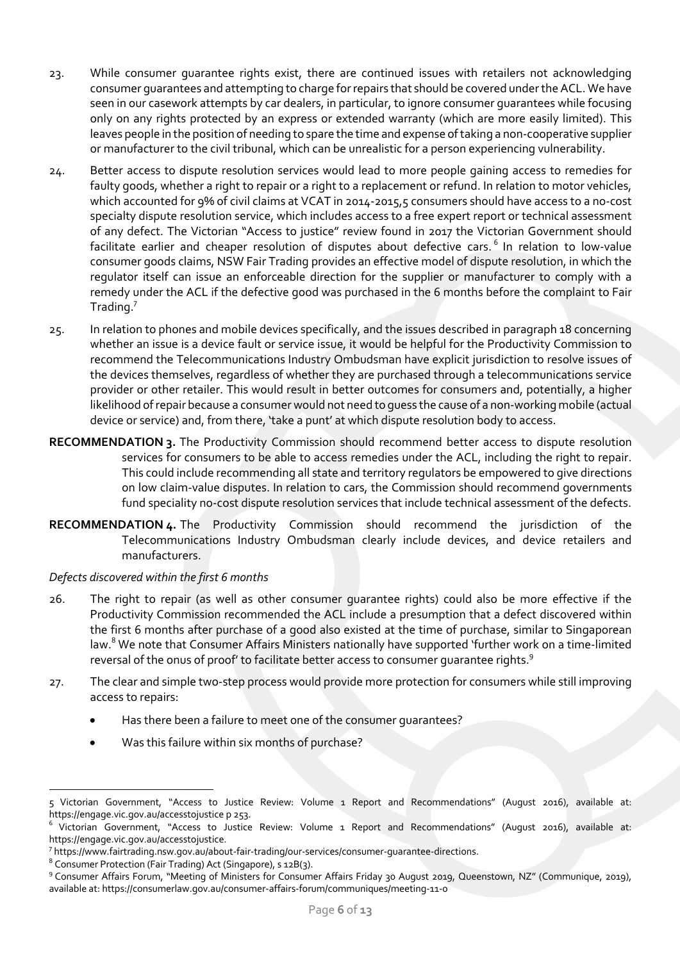- 23. While consumer guarantee rights exist, there are continued issues with retailers not acknowledging consumer guarantees and attempting to charge for repairs that should be covered under the ACL. We have seen in our casework attempts by car dealers, in particular, to ignore consumer guarantees while focusing only on any rights protected by an express or extended warranty (which are more easily limited). This leaves people in the position of needing to spare the time and expense of taking a non-cooperative supplier or manufacturer to the civil tribunal, which can be unrealistic for a person experiencing vulnerability.
- 24. Better access to dispute resolution services would lead to more people gaining access to remedies for faulty goods, whether a right to repair or a right to a replacement or refund. In relation to motor vehicles, which accounted for 9% of civil claims at VCAT in 2014-2015,5 consumers should have access to a no-cost specialty dispute resolution service, which includes access to a free expert report or technical assessment of any defect. The Victorian "Access to justice" review found in 2017 the Victorian Government should facilitate earlier and cheaper resolution of disputes about defective cars.<sup>6</sup> In relation to low-value consumer goods claims, NSW Fair Trading provides an effective model of dispute resolution, in which the regulator itself can issue an enforceable direction for the supplier or manufacturer to comply with a remedy under the ACL if the defective good was purchased in the 6 months before the complaint to Fair Trading. 7
- 25. In relation to phones and mobile devices specifically, and the issues described in paragraph 18 concerning whether an issue is a device fault or service issue, it would be helpful for the Productivity Commission to recommend the Telecommunications Industry Ombudsman have explicit jurisdiction to resolve issues of the devices themselves, regardless of whether they are purchased through a telecommunications service provider or other retailer. This would result in better outcomes for consumers and, potentially, a higher likelihood of repair because a consumer would not need to guess the cause of a non-working mobile (actual device or service) and, from there, 'take a punt' at which dispute resolution body to access.
- **RECOMMENDATION 3.** The Productivity Commission should recommend better access to dispute resolution services for consumers to be able to access remedies under the ACL, including the right to repair. This could include recommending all state and territory regulators be empowered to give directions on low claim-value disputes. In relation to cars, the Commission should recommend governments fund speciality no-cost dispute resolution services that include technical assessment of the defects.
- **RECOMMENDATION 4.** The Productivity Commission should recommend the jurisdiction of the Telecommunications Industry Ombudsman clearly include devices, and device retailers and manufacturers.

### *Defects discovered within the first 6 months*

- 26. The right to repair (as well as other consumer guarantee rights) could also be more effective if the Productivity Commission recommended the ACL include a presumption that a defect discovered within the first 6 months after purchase of a good also existed at the time of purchase, similar to Singaporean law.<sup>8</sup> We note that Consumer Affairs Ministers nationally have supported 'further work on a time-limited reversal of the onus of proof' to facilitate better access to consumer quarantee rights.<sup>9</sup>
- 27. The clear and simple two-step process would provide more protection for consumers while still improving access to repairs:
	- Has there been a failure to meet one of the consumer guarantees?
	- Was this failure within six months of purchase?

<sup>5</sup> Victorian Government, "Access to Justice Review: Volume 1 Report and Recommendations" (August 2016), available at: https://engage.vic.gov.au/accesstojustice p 253.<br><sup>6</sup> Victorian Government, "Access to Justice Review: Volume 1 Report and Recommendations" (August 2016), available at:

https://engage.vic.gov.au/accesstojustice.<br>7 https://www.fairtrading.nsw.gov.au/about-fair-trading/our-services/consumer-guarantee-directions.

<sup>&</sup>lt;sup>8</sup> Consumer Protection (Fair Trading) Act (Singapore), s 12B(3).<br><sup>9</sup> Consumer Affairs Forum, "Meeting of Ministers for Consumer Affairs Friday 30 August 2019, Queenstown, NZ" (Communique, 2019), available at: https://consumerlaw.gov.au/consumer-affairs-forum/communiques/meeting-11-0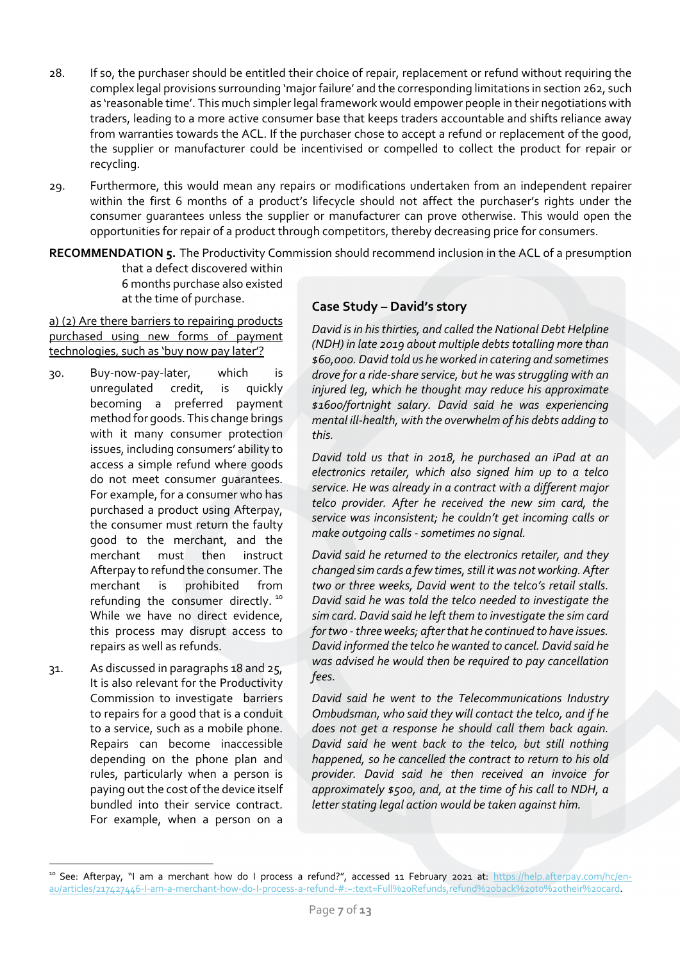- 28. If so, the purchaser should be entitled their choice of repair, replacement or refund without requiring the complex legal provisions surrounding 'major failure' and the corresponding limitations in section 262, such as 'reasonable time'. This much simpler legal framework would empower people in their negotiations with traders, leading to a more active consumer base that keeps traders accountable and shifts reliance away from warranties towards the ACL. If the purchaser chose to accept a refund or replacement of the good, the supplier or manufacturer could be incentivised or compelled to collect the product for repair or recycling.
- 29. Furthermore, this would mean any repairs or modifications undertaken from an independent repairer within the first 6 months of a product's lifecycle should not affect the purchaser's rights under the consumer guarantees unless the supplier or manufacturer can prove otherwise. This would open the opportunities for repair of a product through competitors, thereby decreasing price for consumers.

**RECOMMENDATION 5.** The Productivity Commission should recommend inclusion in the ACL of a presumption

that a defect discovered within 6 months purchase also existed at the time of purchase.

a) (2) Are there barriers to repairing products purchased using new forms of payment technologies, such as 'buy now pay later'?

- 30. Buy-now-pay-later, which is unregulated credit, is quickly becoming a preferred payment method for goods. This change brings with it many consumer protection issues, including consumers' ability to access a simple refund where goods do not meet consumer guarantees. For example, for a consumer who has purchased a product using Afterpay, the consumer must return the faulty good to the merchant, and the merchant must then instruct Afterpay to refund the consumer. The merchant is prohibited from refunding the consumer directly.<sup>10</sup> While we have no direct evidence, this process may disrupt access to repairs as well as refunds.
- 31. As discussed in paragraphs 18 and 25, It is also relevant for the Productivity Commission to investigate barriers to repairs for a good that is a conduit to a service, such as a mobile phone. Repairs can become inaccessible depending on the phone plan and rules, particularly when a person is paying out the cost of the device itself bundled into their service contract. For example, when a person on a

### **Case Study – David's story**

*David is in his thirties, and called the National Debt Helpline (NDH) in late 2019 about multiple debts totalling more than \$60,000. David told us he worked in catering and sometimes drove for a ride-share service, but he was struggling with an injured leg, which he thought may reduce his approximate \$1600/fortnight salary. David said he was experiencing mental ill-health, with the overwhelm of his debts adding to this.*

*David told us that in 2018, he purchased an iPad at an electronics retailer, which also signed him up to a telco service. He was already in a contract with a different major telco provider. After he received the new sim card, the service was inconsistent; he couldn't get incoming calls or make outgoing calls -sometimes no signal.*

*David said he returned to the electronics retailer, and they changed sim cards a few times, still it was not working. After two or three weeks, David went to the telco's retail stalls. David said he was told the telco needed to investigate the sim card. David said he left them to investigate the sim card for two -three weeks; after that he continued to have issues. David informed the telco he wanted to cancel. David said he was advised he would then be required to pay cancellation fees.*

*David said he went to the Telecommunications Industry Ombudsman, who said they will contact the telco, and if he does not get a response he should call them back again. David said he went back to the telco, but still nothing happened, so he cancelled the contract to return to his old provider. David said he then received an invoice for approximately \$500, and, at the time of his call to NDH, a letter stating legal action would be taken against him.* 

<sup>&</sup>lt;sup>10</sup> See: Afterpay, "I am a merchant how do I process a refund?", accessed 11 February 2021 at: https://help.afterpay.com/hc/enau/articles/217427446-I-am-a-merchant-how-do-I-process-a-refund-#:~:text=Full%20Refunds,refund%20back%20to%20their%20card.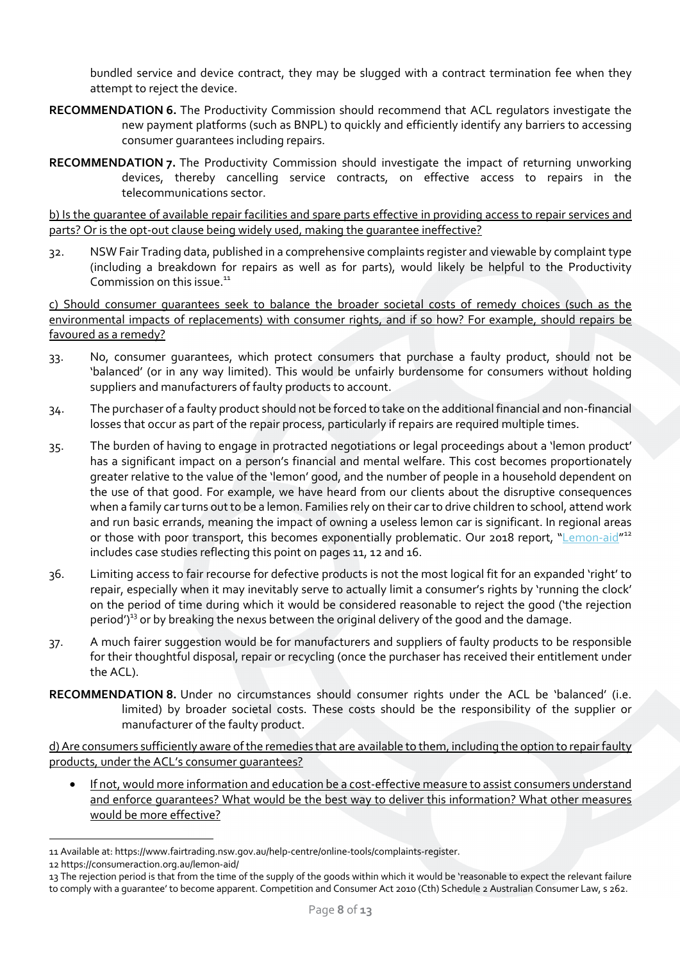bundled service and device contract, they may be slugged with a contract termination fee when they attempt to reject the device.

- **RECOMMENDATION 6.** The Productivity Commission should recommend that ACL regulators investigate the new payment platforms (such as BNPL) to quickly and efficiently identify any barriers to accessing consumer guarantees including repairs.
- **RECOMMENDATION 7.** The Productivity Commission should investigate the impact of returning unworking devices, thereby cancelling service contracts, on effective access to repairs in the telecommunications sector.

b) Is the guarantee of available repair facilities and spare parts effective in providing access to repair services and parts? Or is the opt-out clause being widely used, making the guarantee ineffective?

32. NSW Fair Trading data, published in a comprehensive complaints register and viewable by complaint type (including a breakdown for repairs as well as for parts), would likely be helpful to the Productivity Commission on this issue.<sup>11</sup>

c) Should consumer guarantees seek to balance the broader societal costs of remedy choices (such as the environmental impacts of replacements) with consumer rights, and if so how? For example, should repairs be favoured as a remedy?

- 33. No, consumer guarantees, which protect consumers that purchase a faulty product, should not be 'balanced' (or in any way limited). This would be unfairly burdensome for consumers without holding suppliers and manufacturers of faulty products to account.
- 34. The purchaser of a faulty product should not be forced to take on the additional financial and non-financial losses that occur as part of the repair process, particularly if repairs are required multiple times.
- 35. The burden of having to engage in protracted negotiations or legal proceedings about a 'lemon product' has a significant impact on a person's financial and mental welfare. This cost becomes proportionately greater relative to the value of the 'lemon' good, and the number of people in a household dependent on the use of that good. For example, we have heard from our clients about the disruptive consequences when a family car turns out to be a lemon. Families rely on their car to drive children to school, attend work and run basic errands, meaning the impact of owning a useless lemon car is significant. In regional areas or those with poor transport, this becomes exponentially problematic. Our 2018 report, "Lemon-aid"<sup>12</sup> includes case studies reflecting this point on pages 11, 12 and 16.
- 36. Limiting access to fair recourse for defective products is not the most logical fit for an expanded 'right' to repair, especially when it may inevitably serve to actually limit a consumer's rights by 'running the clock' on the period of time during which it would be considered reasonable to reject the good ('the rejection period')<sup>13</sup> or by breaking the nexus between the original delivery of the good and the damage.
- 37. A much fairer suggestion would be for manufacturers and suppliers of faulty products to be responsible for their thoughtful disposal, repair or recycling (once the purchaser has received their entitlement under the ACL).
- **RECOMMENDATION 8.** Under no circumstances should consumer rights under the ACL be 'balanced' (i.e. limited) by broader societal costs. These costs should be the responsibility of the supplier or manufacturer of the faulty product.

d) Are consumers sufficiently aware of the remedies that are available to them, including the option to repair faulty products, under the ACL's consumer guarantees?

• If not, would more information and education be a cost-effective measure to assist consumers understand and enforce guarantees? What would be the best way to deliver this information? What other measures would be more effective?

<sup>11</sup> Available at: https://www.fairtrading.nsw.gov.au/help-centre/online-tools/complaints-register.

<sup>12</sup> https://consumeraction.org.au/lemon-aid/

<sup>13</sup> The rejection period is that from the time of the supply of the goods within which it would be 'reasonable to expect the relevant failure to comply with a guarantee' to become apparent. Competition and Consumer Act 2010 (Cth) Schedule 2 Australian Consumer Law, s 262.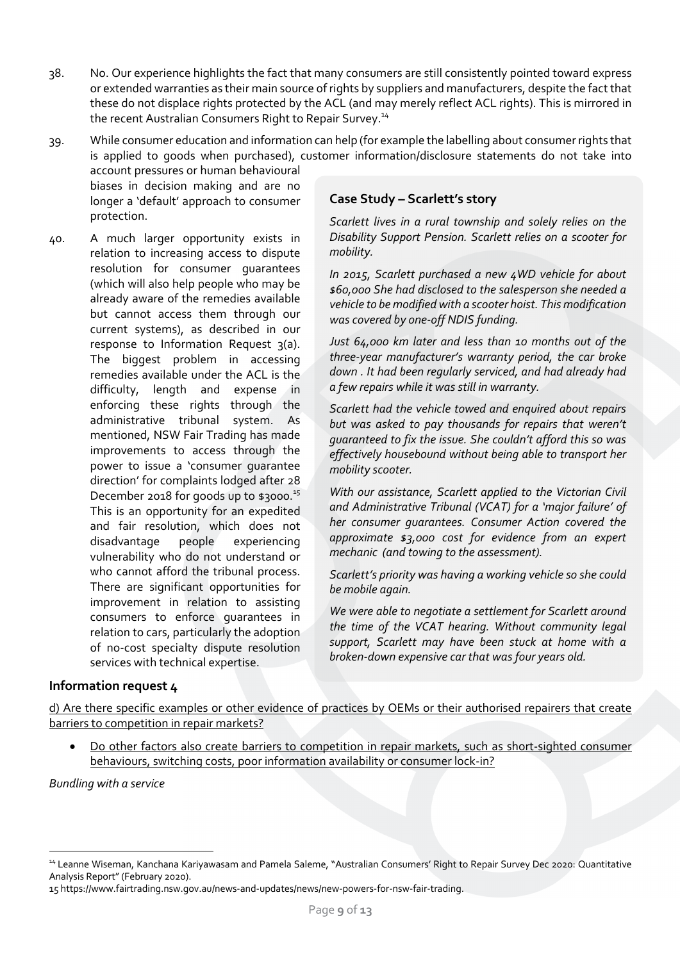- 38. No. Our experience highlights the fact that many consumers are still consistently pointed toward express or extended warranties as their main source of rights by suppliers and manufacturers, despite the fact that these do not displace rights protected by the ACL (and may merely reflect ACL rights). This is mirrored in the recent Australian Consumers Right to Repair Survey.<sup>14</sup>
- 39. While consumer education and information can help (for example the labelling about consumer rights that is applied to goods when purchased), customer information/disclosure statements do not take into

account pressures or human behavioural biases in decision making and are no longer a 'default' approach to consumer protection.

40. A much larger opportunity exists in relation to increasing access to dispute resolution for consumer guarantees (which will also help people who may be already aware of the remedies available but cannot access them through our current systems), as described in our response to Information Request 3(a). The biggest problem in accessing remedies available under the ACL is the difficulty, length and expense in enforcing these rights through the administrative tribunal system. As mentioned, NSW Fair Trading has made improvements to access through the power to issue a 'consumer guarantee direction' for complaints lodged after 28 December 2018 for goods up to \$3000.<sup>15</sup> This is an opportunity for an expedited and fair resolution, which does not disadvantage people experiencing vulnerability who do not understand or who cannot afford the tribunal process. There are significant opportunities for improvement in relation to assisting consumers to enforce guarantees in relation to cars, particularly the adoption of no-cost specialty dispute resolution services with technical expertise.

## **Case Study – Scarlett's story**

*Scarlett lives in a rural township and solely relies on the Disability Support Pension. Scarlett relies on a scooter for mobility.* 

*In 2015, Scarlett purchased a new 4WD vehicle for about \$60,000 She had disclosed to the salesperson she needed a vehicle to be modified with a scooter hoist. This modification was covered by one-off NDIS funding.* 

*Just 64,000 km later and less than 10 months out of the three-year manufacturer's warranty period, the car broke down . It had been regularly serviced, and had already had a few repairs while it was still in warranty.*

*Scarlett had the vehicle towed and enquired about repairs but was asked to pay thousands for repairs that weren't guaranteed to fix the issue. She couldn't afford this so was effectively housebound without being able to transport her mobility scooter.*

*With our assistance, Scarlett applied to the Victorian Civil and Administrative Tribunal (VCAT) for a 'major failure' of her consumer guarantees. Consumer Action covered the approximate \$3,000 cost for evidence from an expert mechanic (and towing to the assessment).* 

*Scarlett's priority was having a working vehicle so she could be mobile again.*

*We were able to negotiate a settlement for Scarlett around the time of the VCAT hearing. Without community legal support, Scarlett may have been stuck at home with a broken-down expensive car that was four years old.*

## **Information request 4**

d) Are there specific examples or other evidence of practices by OEMs or their authorised repairers that create barriers to competition in repair markets?

Do other factors also create barriers to competition in repair markets, such as short-sighted consumer behaviours, switching costs, poor information availability or consumer lock-in?

*Bundling with a service*

<sup>14</sup> Leanne Wiseman, Kanchana Kariyawasam and Pamela Saleme, "Australian Consumers' Right to Repair Survey Dec 2020: Quantitative Analysis Report" (February 2020).

<sup>15</sup> https://www.fairtrading.nsw.gov.au/news-and-updates/news/new-powers-for-nsw-fair-trading.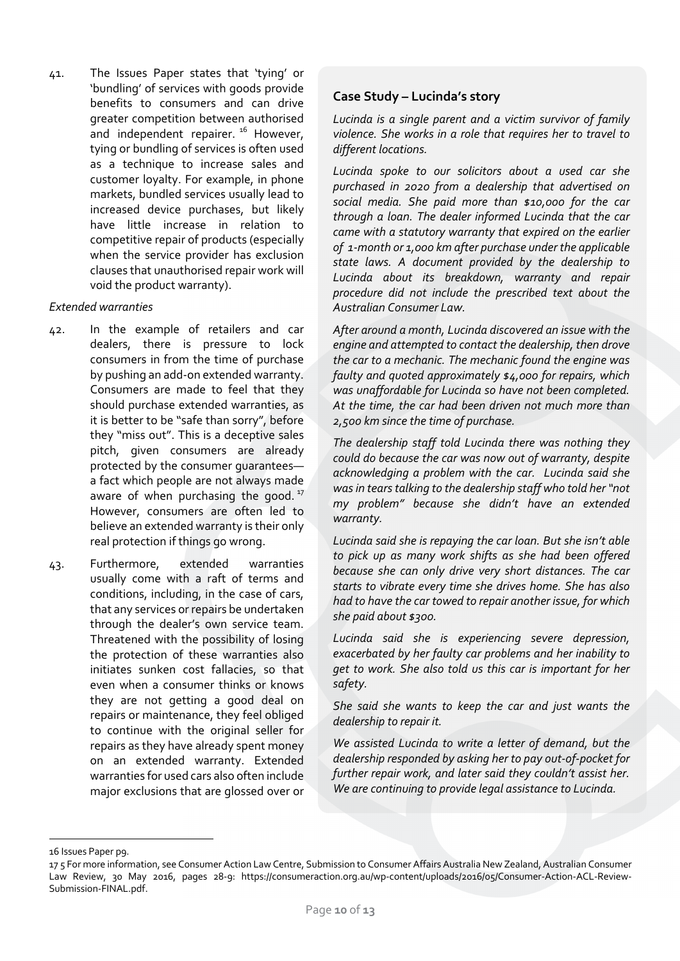41. The Issues Paper states that 'tying' or 'bundling' of services with goods provide benefits to consumers and can drive greater competition between authorised and independent repairer.<sup>16</sup> However, tying or bundling of services is often used as a technique to increase sales and customer loyalty. For example, in phone markets, bundled services usually lead to increased device purchases, but likely have little increase in relation to competitive repair of products (especially when the service provider has exclusion clauses that unauthorised repair work will void the product warranty).

#### *Extended warranties*

- 42. In the example of retailers and car dealers, there is pressure to lock consumers in from the time of purchase by pushing an add-on extended warranty. Consumers are made to feel that they should purchase extended warranties, as it is better to be "safe than sorry", before they "miss out". This is a deceptive sales pitch, given consumers are already protected by the consumer guarantees a fact which people are not always made aware of when purchasing the good. $17$ However, consumers are often led to believe an extended warranty is their only real protection if things go wrong.
- 43. Furthermore, extended warranties usually come with a raft of terms and conditions, including, in the case of cars, that any services or repairs be undertaken through the dealer's own service team. Threatened with the possibility of losing the protection of these warranties also initiates sunken cost fallacies, so that even when a consumer thinks or knows they are not getting a good deal on repairs or maintenance, they feel obliged to continue with the original seller for repairs as they have already spent money on an extended warranty. Extended warranties for used cars also often include major exclusions that are glossed over or

### **Case Study – Lucinda's story**

*Lucinda is a single parent and a victim survivor of family violence. She works in a role that requires her to travel to different locations.*

*Lucinda spoke to our solicitors about a used car she purchased in 2020 from a dealership that advertised on social media. She paid more than \$10,000 for the car through a loan. The dealer informed Lucinda that the car came with a statutory warranty that expired on the earlier of 1-month or 1,000 km after purchase under the applicable state laws. A document provided by the dealership to Lucinda about its breakdown, warranty and repair procedure did not include the prescribed text about the Australian Consumer Law.* 

*After around a month, Lucinda discovered an issue with the engine and attempted to contact the dealership, then drove the car to a mechanic. The mechanic found the engine was faulty and quoted approximately \$4,000 for repairs, which was unaffordable for Lucinda so have not been completed. At the time, the car had been driven not much more than 2,500 km since the time of purchase.*

*The dealership staff told Lucinda there was nothing they could do because the car was now out of warranty, despite acknowledging a problem with the car. Lucinda said she was in tears talking to the dealership staff who told her "not my problem" because she didn't have an extended warranty.*

*Lucinda said she is repaying the car loan. But she isn't able to pick up as many work shifts as she had been offered because she can only drive very short distances. The car starts to vibrate every time she drives home. She has also had to have the car towed to repair another issue, for which she paid about \$300.*

*Lucinda said she is experiencing severe depression, exacerbated by her faulty car problems and her inability to get to work. She also told us this car is important for her safety.*

*She said she wants to keep the car and just wants the dealership to repair it.*

*We assisted Lucinda to write a letter of demand, but the dealership responded by asking her to pay out-of-pocket for further repair work, and later said they couldn't assist her. We are continuing to provide legal assistance to Lucinda.*

<sup>16</sup> Issues Paper p9.

<sup>17</sup> 5 For more information, see Consumer Action Law Centre, Submission to Consumer Affairs Australia New Zealand, Australian Consumer Law Review, 30 May 2016, pages 28-9: https://consumeraction.org.au/wp-content/uploads/2016/05/Consumer-Action-ACL-Review-Submission-FINAL.pdf.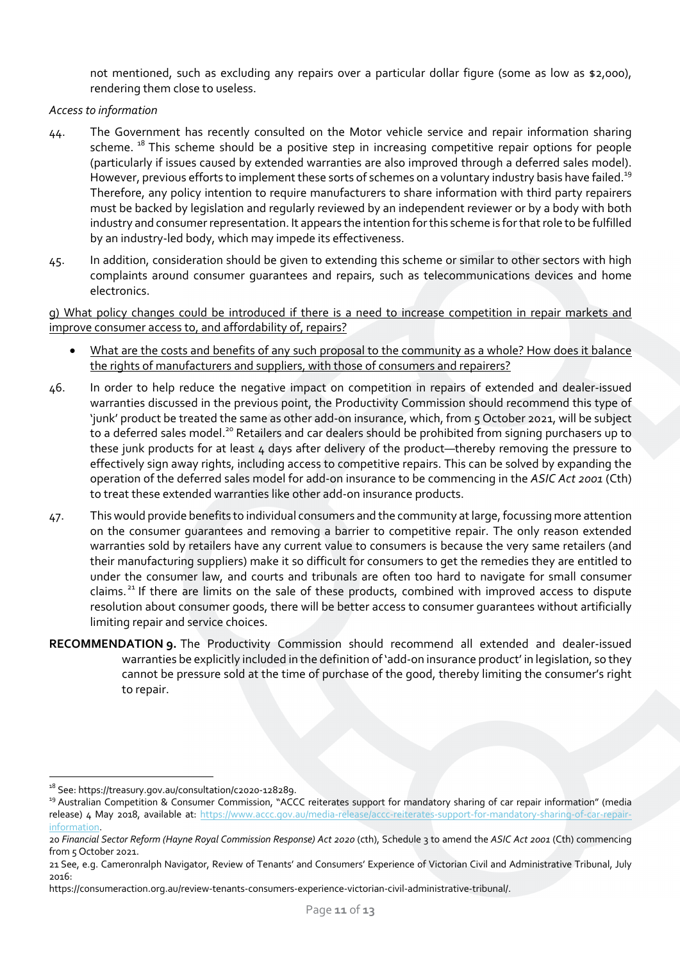not mentioned, such as excluding any repairs over a particular dollar figure (some as low as \$2,000), rendering them close to useless.

#### *Access to information*

- 44. The Government has recently consulted on the Motor vehicle service and repair information sharing scheme.<sup>18</sup> This scheme should be a positive step in increasing competitive repair options for people (particularly if issues caused by extended warranties are also improved through a deferred sales model). However, previous efforts to implement these sorts of schemes on a voluntary industry basis have failed.<sup>19</sup> Therefore, any policy intention to require manufacturers to share information with third party repairers must be backed by legislation and regularly reviewed by an independent reviewer or by a body with both industry and consumer representation. It appears the intention for this scheme is for that role to be fulfilled by an industry-led body, which may impede its effectiveness.
- 45. In addition, consideration should be given to extending this scheme or similar to other sectors with high complaints around consumer guarantees and repairs, such as telecommunications devices and home electronics.

g) What policy changes could be introduced if there is a need to increase competition in repair markets and improve consumer access to, and affordability of, repairs?

- What are the costs and benefits of any such proposal to the community as a whole? How does it balance the rights of manufacturers and suppliers, with those of consumers and repairers?
- 46. In order to help reduce the negative impact on competition in repairs of extended and dealer-issued warranties discussed in the previous point, the Productivity Commission should recommend this type of 'junk' product be treated the same as other add-on insurance, which, from 5 October 2021, will be subject to a deferred sales model.<sup>20</sup> Retailers and car dealers should be prohibited from signing purchasers up to these junk products for at least 4 days after delivery of the product—thereby removing the pressure to effectively sign away rights, including access to competitive repairs. This can be solved by expanding the operation of the deferred sales model for add-on insurance to be commencing in the *ASIC Act 2001* (Cth) to treat these extended warranties like other add-on insurance products.
- 47. This would provide benefits to individual consumers and the community at large, focussing more attention on the consumer guarantees and removing a barrier to competitive repair. The only reason extended warranties sold by retailers have any current value to consumers is because the very same retailers (and their manufacturing suppliers) make it so difficult for consumers to get the remedies they are entitled to under the consumer law, and courts and tribunals are often too hard to navigate for small consumer claims.<sup>21</sup> If there are limits on the sale of these products, combined with improved access to dispute resolution about consumer goods, there will be better access to consumer guarantees without artificially limiting repair and service choices.
- **RECOMMENDATION 9.** The Productivity Commission should recommend all extended and dealer-issued warranties be explicitly included in the definition of 'add-on insurance product' in legislation, so they cannot be pressure sold at the time of purchase of the good, thereby limiting the consumer's right to repair.

<sup>&</sup>lt;sup>18</sup> See: https://treasury.gov.au/consultation/c2020-128289.<br><sup>19</sup> Australian Competition & Consumer Commission, "ACCC reiterates support for mandatory sharing of car repair information" (media release) 4 May 2018, available at: https://www.accc.gov.au/media-release/accc-reiterates-support-for-mandatory-sharing-of-car-repairinformation.

<sup>20</sup> *Financial Sector Reform (Hayne Royal Commission Response) Act 2020* (cth), Schedule 3 to amend the *ASIC Act 2001* (Cth) commencing from 5 October 2021.

<sup>21</sup> See, e.g. Cameronralph Navigator, Review of Tenants' and Consumers' Experience of Victorian Civil and Administrative Tribunal, July 2016:

https://consumeraction.org.au/review-tenants-consumers-experience-victorian-civil-administrative-tribunal/.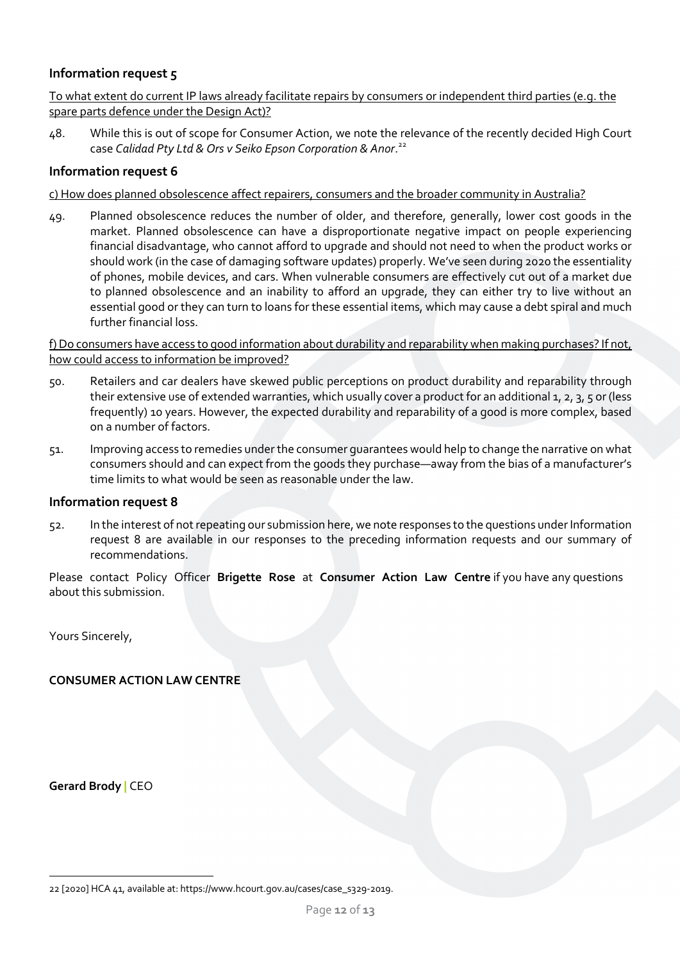### **Information request 5**

To what extent do current IP laws already facilitate repairs by consumers or independent third parties (e.g. the spare parts defence under the Design Act)?

48. While this is out of scope for Consumer Action, we note the relevance of the recently decided High Court case *Calidad Pty Ltd & Ors v Seiko Epson Corporation & Anor*. 22

### **Information request 6**

#### c) How does planned obsolescence affect repairers, consumers and the broader community in Australia?

49. Planned obsolescence reduces the number of older, and therefore, generally, lower cost goods in the market. Planned obsolescence can have a disproportionate negative impact on people experiencing financial disadvantage, who cannot afford to upgrade and should not need to when the product works or should work (in the case of damaging software updates) properly. We've seen during 2020 the essentiality of phones, mobile devices, and cars. When vulnerable consumers are effectively cut out of a market due to planned obsolescence and an inability to afford an upgrade, they can either try to live without an essential good or they can turn to loans for these essential items, which may cause a debt spiral and much further financial loss.

f) Do consumers have access to good information about durability and reparability when making purchases? If not, how could access to information be improved?

- 50. Retailers and car dealers have skewed public perceptions on product durability and reparability through their extensive use of extended warranties, which usually cover a product for an additional 1, 2, 3, 5 or (less frequently) 10 years. However, the expected durability and reparability of a good is more complex, based on a number of factors.
- 51. Improving access to remedies under the consumer guarantees would help to change the narrative on what consumers should and can expect from the goods they purchase—away from the bias of a manufacturer's time limits to what would be seen as reasonable under the law.

#### **Information request 8**

52. In the interest of not repeating our submission here, we note responses to the questions under Information request 8 are available in our responses to the preceding information requests and our summary of recommendations.

Please contact Policy Officer **Brigette Rose** at **Consumer Action Law Centre** if you have any questions about this submission.

Yours Sincerely,

## **CONSUMER ACTION LAW CENTRE**

**Gerard Brody |** CEO

<sup>22</sup> [2020] HCA 41, available at: https://www.hcourt.gov.au/cases/case\_s329-2019.